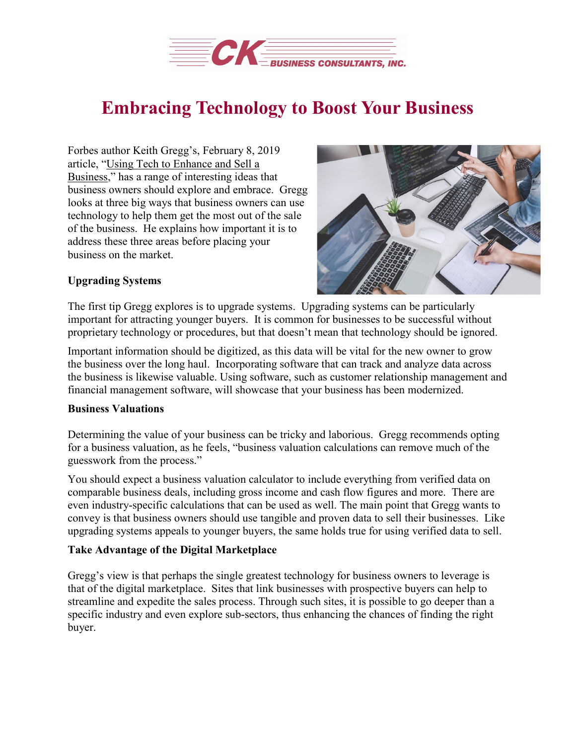

## **Embracing Technology to Boost Your Business**

Forbes author Keith Gregg's, February 8, 2019 article, "Using Tech to [Enhance](https://www.forbes.com/sites/forbesfinancecouncil/2019/02/08/using-tech-to-enhance-value-and-sell-a-business/#25a412ad4674) and Sell a [Business,](https://www.forbes.com/sites/forbesfinancecouncil/2019/02/08/using-tech-to-enhance-value-and-sell-a-business/#25a412ad4674)" has a range of interesting ideas that business owners should explore and embrace. Gregg looks at three big ways that business owners can use technology to help them get the most out of the sale of the business. He explains how important it is to address these three areas before placing your business on the market.



## **Upgrading Systems**

The first tip Gregg explores is to upgrade systems. Upgrading systems can be particularly important for attracting younger buyers. It is common for businesses to be successful without proprietary technology or procedures, but that doesn't mean that technology should be ignored.

Important information should be digitized, as this data will be vital for the new owner to grow the business over the long haul. Incorporating software that can track and analyze data across the business is likewise valuable. Using software, such as customer relationship management and financial management software, will showcase that your business has been modernized.

## **Business Valuations**

Determining the value of your business can be tricky and laborious. Gregg recommends opting for a business valuation, as he feels, "business valuation calculations can remove much of the guesswork from the process."

You should expect a business valuation calculator to include everything from verified data on comparable business deals, including gross income and cash flow figures and more. There are even industry-specific calculations that can be used as well. The main point that Gregg wants to convey is that business owners should use tangible and proven data to sell their businesses. Like upgrading systems appeals to younger buyers, the same holds true for using verified data to sell.

## **Take Advantage of the Digital Marketplace**

Gregg's view is that perhaps the single greatest technology for business owners to leverage is that of the digital marketplace. Sites that link businesses with prospective buyers can help to streamline and expedite the sales process. Through such sites, it is possible to go deeper than a specific industry and even explore sub-sectors, thus enhancing the chances of finding the right buyer.